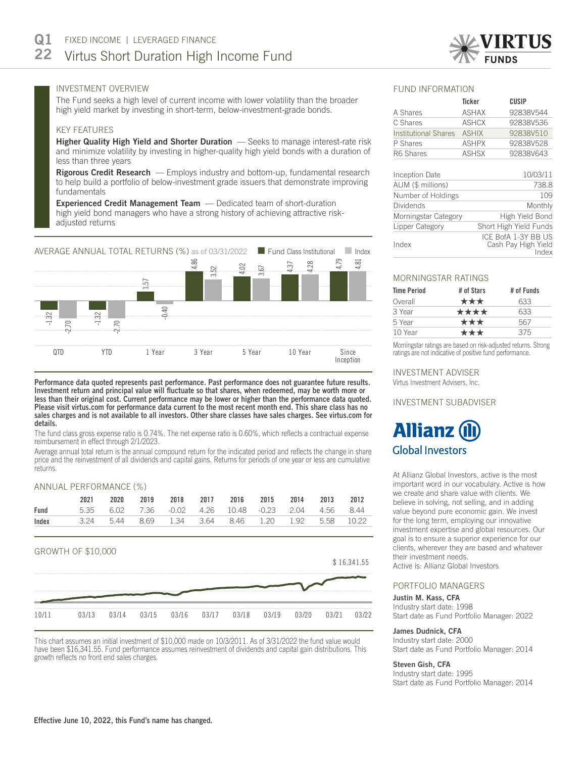

# INVESTMENT OVERVIEW

The Fund seeks a high level of current income with lower volatility than the broader high yield market by investing in short-term, below-investment-grade bonds.

## KEY FEATURES

Higher Quality High Yield and Shorter Duration - Seeks to manage interest-rate risk and minimize volatility by investing in higher-quality high yield bonds with a duration of less than three years

Rigorous Credit Research - Employs industry and bottom-up, fundamental research to help build a portfolio of below-investment grade issuers that demonstrate improving fundamentals

Experienced Credit Management Team - Dedicated team of short-duration high yield bond managers who have a strong history of achieving attractive riskadjusted returns



Performance data quoted represents past performance. Past performance does not guarantee future results. Investment return and principal value will fluctuate so that shares, when redeemed, may be worth more or less than their original cost. Current performance may be lower or higher than the performance data quoted. Please visit virtus.com for performance data current to the most recent month end. This share class has no sales charges and is not available to all investors. Other share classes have sales charges. See virtus.com for details.

The fund class gross expense ratio is 0.74%. The net expense ratio is 0.60%, which reflects a contractual expense reimbursement in effect through 2/1/2023.

Average annual total return is the annual compound return for the indicated period and reflects the change in share price and the reinvestment of all dividends and capital gains. Returns for periods of one year or less are cumulative returns.

# ANNUAL PERFORMANCE (%)

|       | $\begin{array}{c} \begin{array}{c} \hline \end{array} \end{array} \begin{array}{c} \hline \end{array} \end{array} \begin{array}{c} \hline \end{array} \begin{array}{c} \hline \end{array} \begin{array}{c} \hline \end{array} \begin{array}{c} \hline \end{array} \begin{array}{c} \hline \end{array} \begin{array}{c} \hline \end{array} \begin{array}{c} \hline \end{array} \begin{array}{c} \hline \end{array} \begin{array}{c} \hline \end{array} \begin{array}{c} \hline \end{array}$ |       |       |         |       |       |         |       |       |             |
|-------|--------------------------------------------------------------------------------------------------------------------------------------------------------------------------------------------------------------------------------------------------------------------------------------------------------------------------------------------------------------------------------------------------------------------------------------------------------------------------------------------|-------|-------|---------|-------|-------|---------|-------|-------|-------------|
|       | 2021                                                                                                                                                                                                                                                                                                                                                                                                                                                                                       | 2020  | 2019  | 2018    | 2017  | 2016  | 2015    | 2014  | 2013  | 2012        |
| Fund  | 5.35                                                                                                                                                                                                                                                                                                                                                                                                                                                                                       | 6.02  | 7.36  | $-0.02$ | 4.26  | 10.48 | $-0.23$ | 2.04  | 4.56  | 8.44        |
| Index | 3.24                                                                                                                                                                                                                                                                                                                                                                                                                                                                                       | 5.44  | 8.69  | 1.34    | 3.64  | 8.46  | 1.20    | 1.92  | 5.58  | 10.22       |
|       | GROWTH OF \$10,000                                                                                                                                                                                                                                                                                                                                                                                                                                                                         |       |       |         |       |       |         |       |       | \$16,341.55 |
|       |                                                                                                                                                                                                                                                                                                                                                                                                                                                                                            |       |       |         |       |       |         |       |       |             |
| 10/11 | 03/13                                                                                                                                                                                                                                                                                                                                                                                                                                                                                      | 03/14 | 03/15 | 03/16   | 03/17 | 03/18 | 03/19   | 03/20 | 03/21 | 03/22       |

This chart assumes an initial investment of \$10,000 made on 10/3/2011. As of 3/31/2022 the fund value would have been \$16,341.55. Fund performance assumes reinvestment of dividends and capital gain distributions. This growth reflects no front end sales charges.

### FUND INFORMATION

|                             | <b>Ticker</b> | CUSIP     |
|-----------------------------|---------------|-----------|
| A Shares                    | <b>ASHAX</b>  | 92838V544 |
| C Shares                    | <b>ASHCX</b>  | 92838V536 |
| <b>Institutional Shares</b> | <b>ASHIX</b>  | 92838V510 |
| P Shares                    | <b>ASHPX</b>  | 92838V528 |
| R6 Shares                   | <b>ASHSX</b>  | 92838V643 |
|                             |               |           |
| Incention Date              |               | 10/03/11  |

| Inception Date       | 10/03/11                                            |
|----------------------|-----------------------------------------------------|
| AUM (\$ millions)    | 738.8                                               |
| Number of Holdings   | 109                                                 |
| <b>Dividends</b>     | Monthly                                             |
| Morningstar Category | High Yield Bond                                     |
| Lipper Category      | Short High Yield Funds                              |
| Index                | ICE BofA 1-3Y BB US<br>Cash Pay High Yield<br>Index |

## MORNINGSTAR RATINGS

| <b>Time Period</b> | # of Stars | # of Funds |
|--------------------|------------|------------|
| Overall            | ***        | 633        |
| 3 Year             | ****       | 633        |
| 5 Year             | ***        | 567        |
| 10 Year            | ***        | 375        |

Morningstar ratings are based on risk-adjusted returns. Strong ratings are not indicative of positive fund performance.

## INVESTMENT ADVISER

Virtus Investment Advisers, Inc.

# INVESTMENT SUBADVISER

# **Allianz ( Global Investors**

At Allianz Global Investors, active is the most important word in our vocabulary. Active is how we create and share value with clients. We believe in solving, not selling, and in adding value beyond pure economic gain. We invest for the long term, employing our innovative investment expertise and global resources. Our goal is to ensure a superior experience for our clients, wherever they are based and whatever their investment needs.

Active is: Allianz Global Investors

## PORTFOLIO MANAGERS

#### Justin M. Kass, CFA

Industry start date: 1998 Start date as Fund Portfolio Manager: 2022

# James Dudnick, CFA

Industry start date: 2000 Start date as Fund Portfolio Manager: 2014

#### Steven Gish, CFA

Industry start date: 1995 Start date as Fund Portfolio Manager: 2014